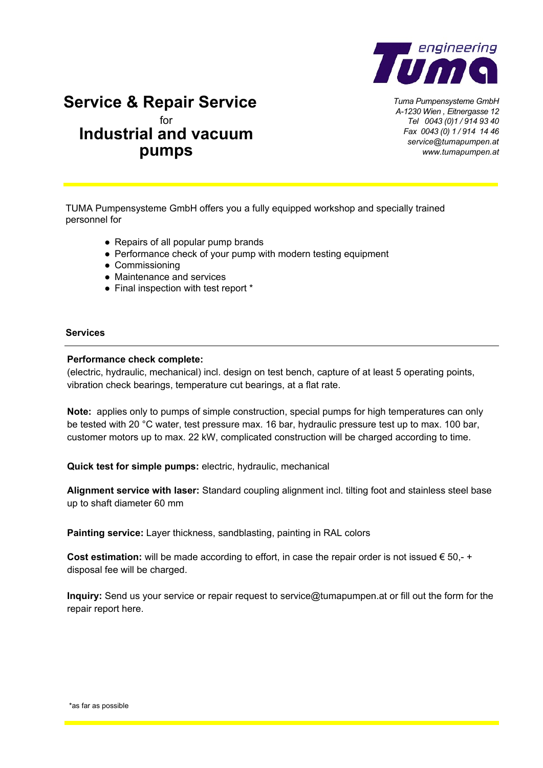

*Tuma Pumpensysteme GmbH A-1230 Wien , Eitnergasse 12 Tel 0043 (0)1 / 914 93 40 Fax 0043 (0) 1 / 914 14 46 service@tumapumpen.at www.tumapumpen.at*

## **Service & Repair Service** for **Industrial and vacuum pumps**

TUMA Pumpensysteme GmbH offers you a fully equipped workshop and specially trained personnel for

- Repairs of all popular pump brands
- Performance check of your pump with modern testing equipment
- Commissioning
- Maintenance and services
- Final inspection with test report \*

#### **Services**

#### **Performance check complete:**

(electric, hydraulic, mechanical) incl. design on test bench, capture of at least 5 operating points, vibration check bearings, temperature cut bearings, at a flat rate.

**Note:** applies only to pumps of simple construction, special pumps for high temperatures can only be tested with 20 °C water, test pressure max. 16 bar, hydraulic pressure test up to max. 100 bar, customer motors up to max. 22 kW, complicated construction will be charged according to time.

**Quick test for simple pumps:** electric, hydraulic, mechanical

**Alignment service with laser:** Standard coupling alignment incl. tilting foot and stainless steel base up to shaft diameter 60 mm

**Painting service:** Layer thickness, sandblasting, painting in RAL colors

**Cost estimation:** will be made according to effort, in case the repair order is not issued € 50,- + disposal fee will be charged.

**Inquiry:** Send us your service or repair request to service@t[umapumpen.at or fill out the](mailto:service@tumapumpen.at) form for the repair report here.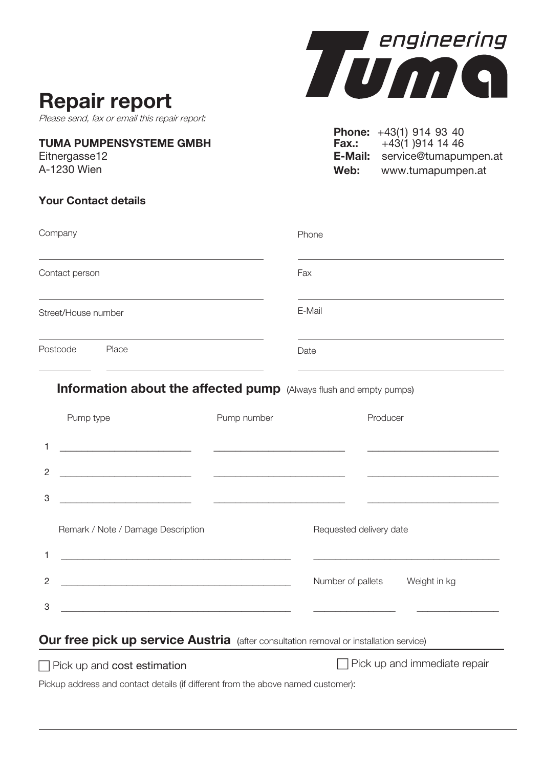# **Repair report**

Please send, fax or email this repair report*:*

#### **TUMA PUMPENSYSTEME GMBH**

Eitnergasse12 A-1230 Wien

## **Your Contact details**



**Phone:** +43(1) 914 93 40 **Fax.:**  $+43(1)9141446$ **E-Mail:** service@tumapumpen.at **Web:** www.tumapumpen.at

| Company             |                                                                                                                       |             | Phone                          |                                                                                           |
|---------------------|-----------------------------------------------------------------------------------------------------------------------|-------------|--------------------------------|-------------------------------------------------------------------------------------------|
| Contact person      |                                                                                                                       |             | Fax                            |                                                                                           |
| Street/House number |                                                                                                                       |             | E-Mail                         |                                                                                           |
| Postcode Place      |                                                                                                                       |             | Date                           |                                                                                           |
|                     | Information about the affected pump (Always flush and empty pumps)                                                    |             |                                |                                                                                           |
|                     | Pump type                                                                                                             | Pump number |                                | Producer                                                                                  |
| 1                   | <u> 1980 - Jan James Barnett, fransk politik (d. 1980)</u>                                                            |             |                                |                                                                                           |
| 2                   | <u> 2000 - 2000 - 2000 - 2000 - 2000 - 2000 - 2000 - 2000 - 2000 - 2000 - 2000 - 2000 - 2000 - 2000 - 2000 - 200</u>  |             |                                |                                                                                           |
| 3                   | <u> 1980 - Johann Harry Barn, mars and de Branch and de Branch and de Branch and de Branch and de Branch and de B</u> |             |                                | the control of the control of the control of the control of the control of the control of |
|                     | Remark / Note / Damage Description                                                                                    |             |                                | Requested delivery date                                                                   |
| 1                   |                                                                                                                       |             |                                |                                                                                           |
| $\overline{2}$      |                                                                                                                       |             | Number of pallets Weight in kg |                                                                                           |
| 3                   | <u> 1989 - Johann Harry Harry Harry Harry Harry Harry Harry Harry Harry Harry Harry Harry Harry Harry Harry Harry</u> |             |                                |                                                                                           |
|                     | Our free pick up service Austria (after consultation removal or installation service)                                 |             |                                |                                                                                           |

□ Pick up and cost estimation **Depays to the UP** Pick up and immediate repair

Pickup address and contact details (if different from the above named customer):